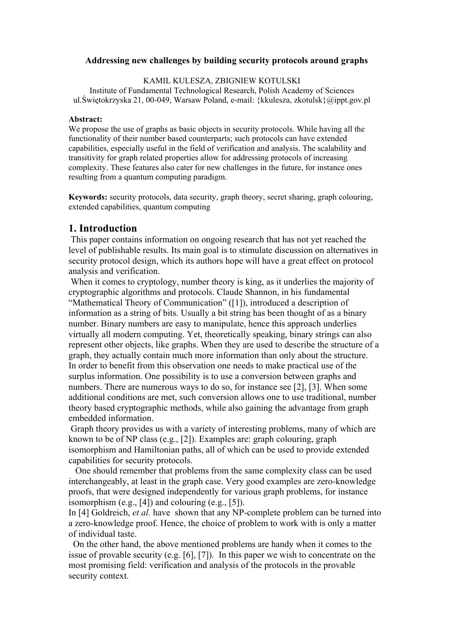### **Addressing new challenges by building security protocols around graphs**

## KAMIL KULESZA, ZBIGNIEW KOTULSKI

Institute of Fundamental Technological Research, Polish Academy of Sciences ul.Świętokrzyska 21, 00-049, Warsaw Poland, e-mail: {kkulesza, zkotulsk}@ippt.gov.pl

#### **Abstract:**

We propose the use of graphs as basic objects in security protocols. While having all the functionality of their number based counterparts; such protocols can have extended capabilities, especially useful in the field of verification and analysis. The scalability and transitivity for graph related properties allow for addressing protocols of increasing complexity. These features also cater for new challenges in the future, for instance ones resulting from a quantum computing paradigm.

**Keywords:** security protocols, data security, graph theory, secret sharing, graph colouring, extended capabilities, quantum computing

## **1. Introduction**

 This paper contains information on ongoing research that has not yet reached the level of publishable results. Its main goal is to stimulate discussion on alternatives in security protocol design, which its authors hope will have a great effect on protocol analysis and verification.

When it comes to cryptology, number theory is king, as it underlies the majority of cryptographic algorithms and protocols. Claude Shannon, in his fundamental "Mathematical Theory of Communication" ([1]), introduced a description of information as a string of bits. Usually a bit string has been thought of as a binary number. Binary numbers are easy to manipulate, hence this approach underlies virtually all modern computing. Yet, theoretically speaking, binary strings can also represent other objects, like graphs. When they are used to describe the structure of a graph, they actually contain much more information than only about the structure. In order to benefit from this observation one needs to make practical use of the surplus information. One possibility is to use a conversion between graphs and numbers. There are numerous ways to do so, for instance see [2], [3]. When some additional conditions are met, such conversion allows one to use traditional, number theory based cryptographic methods, while also gaining the advantage from graph embedded information.

 Graph theory provides us with a variety of interesting problems, many of which are known to be of NP class (e.g., [2]). Examples are: graph colouring, graph isomorphism and Hamiltonian paths, all of which can be used to provide extended capabilities for security protocols.

 One should remember that problems from the same complexity class can be used interchangeably, at least in the graph case. Very good examples are zero-knowledge proofs, that were designed independently for various graph problems, for instance isomorphism  $(e.g., [4])$  and colouring  $(e.g., [5])$ .

In [4] Goldreich, *et al.* have shown that any NP-complete problem can be turned into a zero-knowledge proof. Hence, the choice of problem to work with is only a matter of individual taste.

 On the other hand, the above mentioned problems are handy when it comes to the issue of provable security (e.g. [6], [7]). In this paper we wish to concentrate on the most promising field: verification and analysis of the protocols in the provable security context.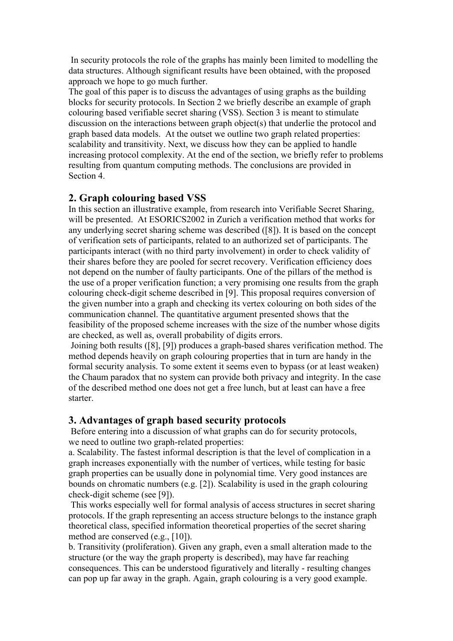In security protocols the role of the graphs has mainly been limited to modelling the data structures. Although significant results have been obtained, with the proposed approach we hope to go much further.

The goal of this paper is to discuss the advantages of using graphs as the building blocks for security protocols. In Section 2 we briefly describe an example of graph colouring based verifiable secret sharing (VSS). Section 3 is meant to stimulate discussion on the interactions between graph object(s) that underlie the protocol and graph based data models. At the outset we outline two graph related properties: scalability and transitivity. Next, we discuss how they can be applied to handle increasing protocol complexity. At the end of the section, we briefly refer to problems resulting from quantum computing methods. The conclusions are provided in Section 4.

# **2. Graph colouring based VSS**

In this section an illustrative example, from research into Verifiable Secret Sharing, will be presented. At ESORICS2002 in Zurich a verification method that works for any underlying secret sharing scheme was described ([8]). It is based on the concept of verification sets of participants, related to an authorized set of participants. The participants interact (with no third party involvement) in order to check validity of their shares before they are pooled for secret recovery. Verification efficiency does not depend on the number of faulty participants. One of the pillars of the method is the use of a proper verification function; a very promising one results from the graph colouring check-digit scheme described in [9]. This proposal requires conversion of the given number into a graph and checking its vertex colouring on both sides of the communication channel. The quantitative argument presented shows that the feasibility of the proposed scheme increases with the size of the number whose digits are checked, as well as, overall probability of digits errors.

 Joining both results ([8], [9]) produces a graph-based shares verification method. The method depends heavily on graph colouring properties that in turn are handy in the formal security analysis. To some extent it seems even to bypass (or at least weaken) the Chaum paradox that no system can provide both privacy and integrity. In the case of the described method one does not get a free lunch, but at least can have a free starter.

### **3. Advantages of graph based security protocols**

 Before entering into a discussion of what graphs can do for security protocols, we need to outline two graph-related properties:

a. Scalability. The fastest informal description is that the level of complication in a graph increases exponentially with the number of vertices, while testing for basic graph properties can be usually done in polynomial time. Very good instances are bounds on chromatic numbers (e.g. [2]). Scalability is used in the graph colouring check-digit scheme (see [9]).

 This works especially well for formal analysis of access structures in secret sharing protocols. If the graph representing an access structure belongs to the instance graph theoretical class, specified information theoretical properties of the secret sharing method are conserved (e.g., [10]).

b. Transitivity (proliferation). Given any graph, even a small alteration made to the structure (or the way the graph property is described), may have far reaching consequences. This can be understood figuratively and literally - resulting changes can pop up far away in the graph. Again, graph colouring is a very good example.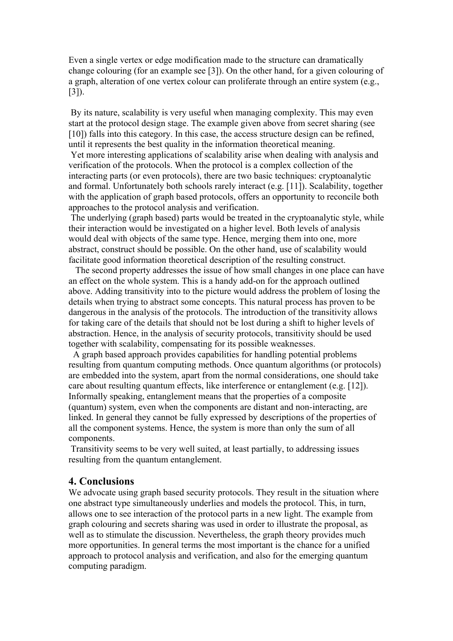Even a single vertex or edge modification made to the structure can dramatically change colouring (for an example see [3]). On the other hand, for a given colouring of a graph, alteration of one vertex colour can proliferate through an entire system (e.g., [3]).

 By its nature, scalability is very useful when managing complexity. This may even start at the protocol design stage. The example given above from secret sharing (see [10]) falls into this category. In this case, the access structure design can be refined, until it represents the best quality in the information theoretical meaning.

 Yet more interesting applications of scalability arise when dealing with analysis and verification of the protocols. When the protocol is a complex collection of the interacting parts (or even protocols), there are two basic techniques: cryptoanalytic and formal. Unfortunately both schools rarely interact (e.g. [11]). Scalability, together with the application of graph based protocols, offers an opportunity to reconcile both approaches to the protocol analysis and verification.

 The underlying (graph based) parts would be treated in the cryptoanalytic style, while their interaction would be investigated on a higher level. Both levels of analysis would deal with objects of the same type. Hence, merging them into one, more abstract, construct should be possible. On the other hand, use of scalability would facilitate good information theoretical description of the resulting construct.

 The second property addresses the issue of how small changes in one place can have an effect on the whole system. This is a handy add-on for the approach outlined above. Adding transitivity into to the picture would address the problem of losing the details when trying to abstract some concepts. This natural process has proven to be dangerous in the analysis of the protocols. The introduction of the transitivity allows for taking care of the details that should not be lost during a shift to higher levels of abstraction. Hence, in the analysis of security protocols, transitivity should be used together with scalability, compensating for its possible weaknesses.

 A graph based approach provides capabilities for handling potential problems resulting from quantum computing methods. Once quantum algorithms (or protocols) are embedded into the system, apart from the normal considerations, one should take care about resulting quantum effects, like interference or entanglement (e.g. [12]). Informally speaking, entanglement means that the properties of a composite (quantum) system, even when the components are distant and non-interacting, are linked. In general they cannot be fully expressed by descriptions of the properties of all the component systems. Hence, the system is more than only the sum of all components.

 Transitivity seems to be very well suited, at least partially, to addressing issues resulting from the quantum entanglement.

#### **4. Conclusions**

We advocate using graph based security protocols. They result in the situation where one abstract type simultaneously underlies and models the protocol. This, in turn, allows one to see interaction of the protocol parts in a new light. The example from graph colouring and secrets sharing was used in order to illustrate the proposal, as well as to stimulate the discussion. Nevertheless, the graph theory provides much more opportunities. In general terms the most important is the chance for a unified approach to protocol analysis and verification, and also for the emerging quantum computing paradigm.